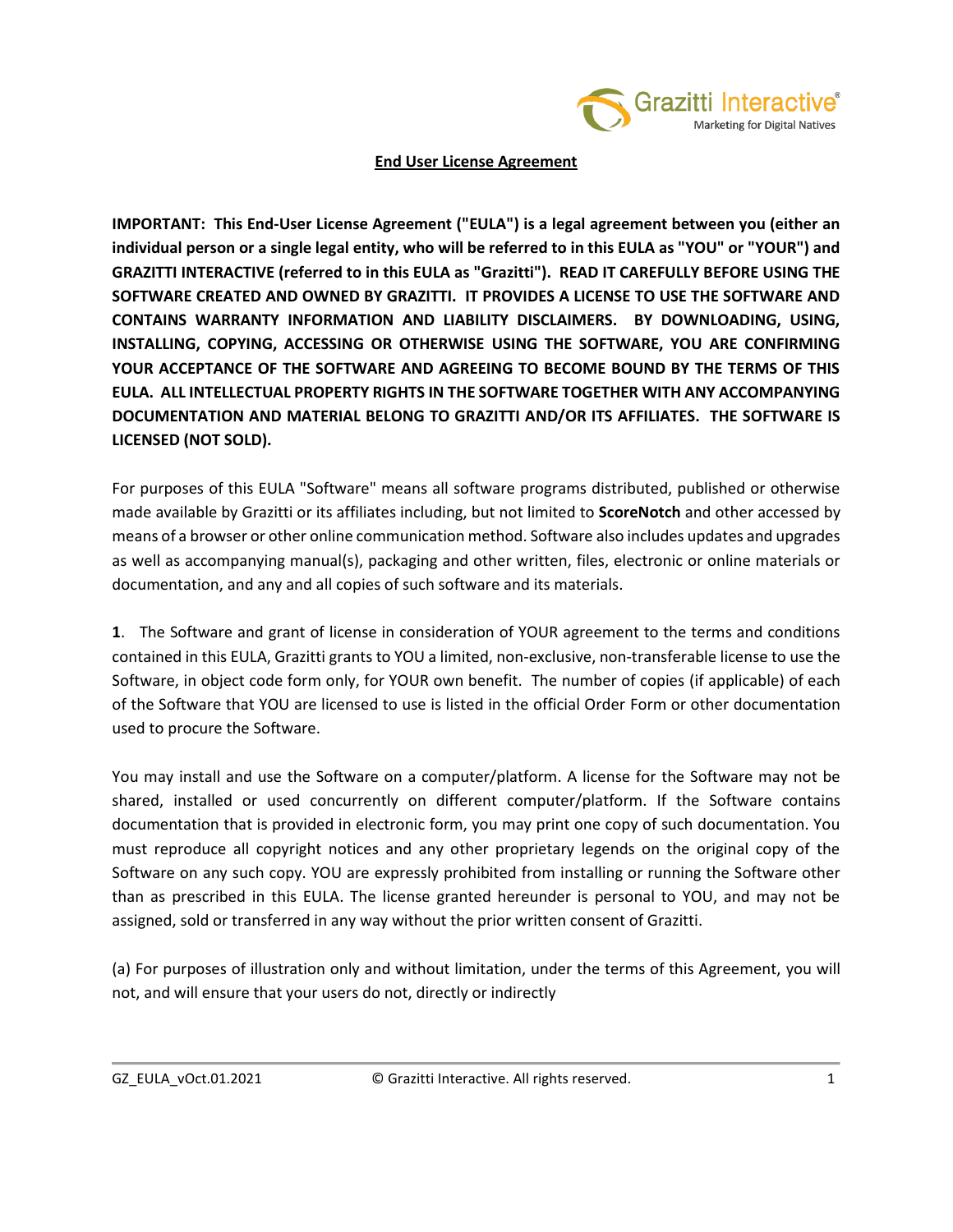

#### **End User License Agreement**

**IMPORTANT: This End-User License Agreement ("EULA") is a legal agreement between you (either an individual person or a single legal entity, who will be referred to in this EULA as "YOU" or "YOUR") and GRAZITTI INTERACTIVE (referred to in this EULA as "Grazitti"). READ IT CAREFULLY BEFORE USING THE SOFTWARE CREATED AND OWNED BY GRAZITTI. IT PROVIDES A LICENSE TO USE THE SOFTWARE AND CONTAINS WARRANTY INFORMATION AND LIABILITY DISCLAIMERS. BY DOWNLOADING, USING, INSTALLING, COPYING, ACCESSING OR OTHERWISE USING THE SOFTWARE, YOU ARE CONFIRMING YOUR ACCEPTANCE OF THE SOFTWARE AND AGREEING TO BECOME BOUND BY THE TERMS OF THIS EULA. ALL INTELLECTUAL PROPERTY RIGHTS IN THE SOFTWARE TOGETHER WITH ANY ACCOMPANYING DOCUMENTATION AND MATERIAL BELONG TO GRAZITTI AND/OR ITS AFFILIATES. THE SOFTWARE IS LICENSED (NOT SOLD).** 

For purposes of this EULA "Software" means all software programs distributed, published or otherwise made available by Grazitti or its affiliates including, but not limited to **ScoreNotch** and other accessed by means of a browser or other online communication method. Software also includes updates and upgrades as well as accompanying manual(s), packaging and other written, files, electronic or online materials or documentation, and any and all copies of such software and its materials.

**1**. The Software and grant of license in consideration of YOUR agreement to the terms and conditions contained in this EULA, Grazitti grants to YOU a limited, non-exclusive, non-transferable license to use the Software, in object code form only, for YOUR own benefit. The number of copies (if applicable) of each of the Software that YOU are licensed to use is listed in the official Order Form or other documentation used to procure the Software.

You may install and use the Software on a computer/platform. A license for the Software may not be shared, installed or used concurrently on different computer/platform. If the Software contains documentation that is provided in electronic form, you may print one copy of such documentation. You must reproduce all copyright notices and any other proprietary legends on the original copy of the Software on any such copy. YOU are expressly prohibited from installing or running the Software other than as prescribed in this EULA. The license granted hereunder is personal to YOU, and may not be assigned, sold or transferred in any way without the prior written consent of Grazitti.

(a) For purposes of illustration only and without limitation, under the terms of this Agreement, you will not, and will ensure that your users do not, directly or indirectly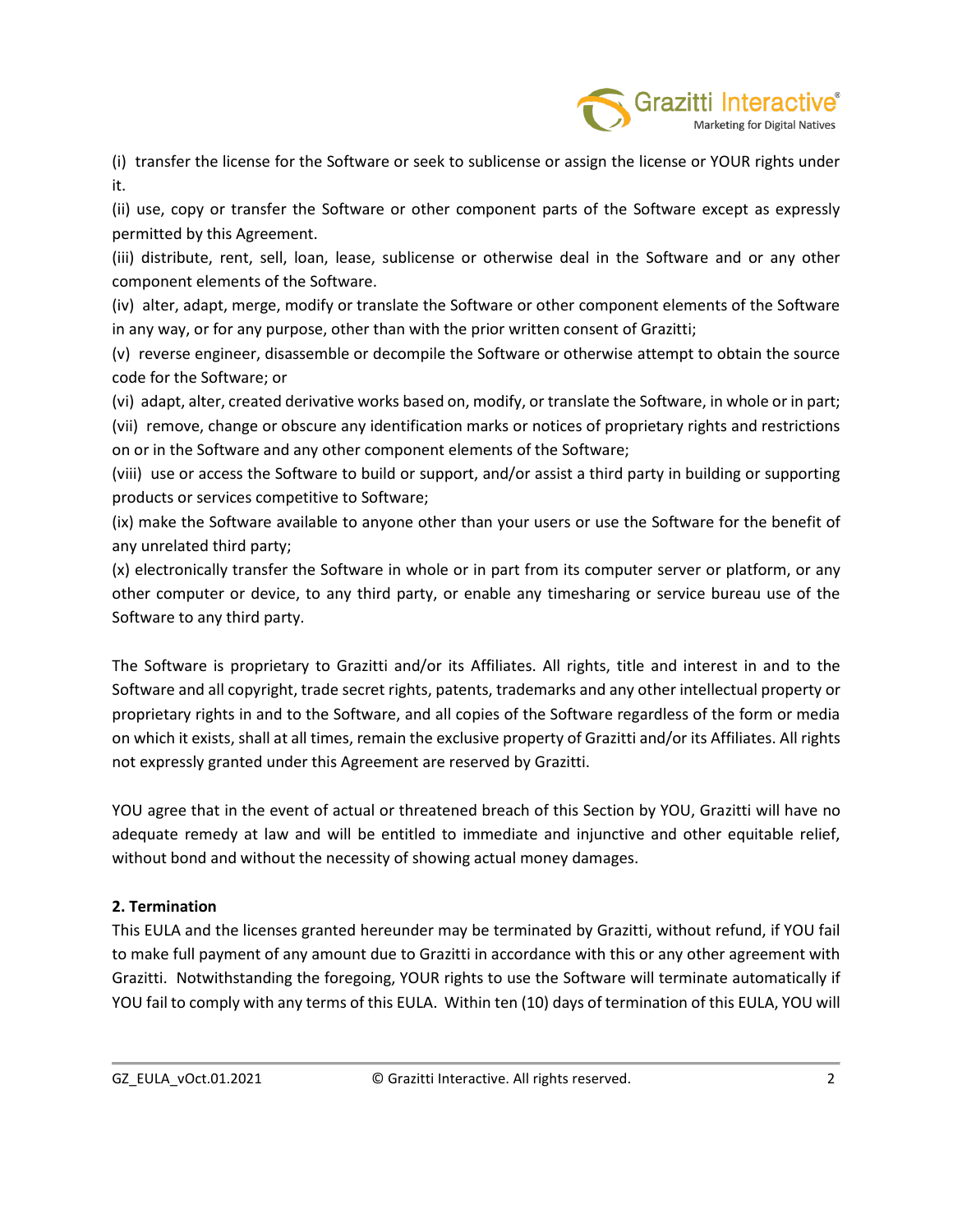

(i) transfer the license for the Software or seek to sublicense or assign the license or YOUR rights under it.

(ii) use, copy or transfer the Software or other component parts of the Software except as expressly permitted by this Agreement.

(iii) distribute, rent, sell, loan, lease, sublicense or otherwise deal in the Software and or any other component elements of the Software.

(iv) alter, adapt, merge, modify or translate the Software or other component elements of the Software in any way, or for any purpose, other than with the prior written consent of Grazitti;

(v) reverse engineer, disassemble or decompile the Software or otherwise attempt to obtain the source code for the Software; or

(vi) adapt, alter, created derivative works based on, modify, or translate the Software, in whole or in part; (vii) remove, change or obscure any identification marks or notices of proprietary rights and restrictions on or in the Software and any other component elements of the Software;

(viii) use or access the Software to build or support, and/or assist a third party in building or supporting products or services competitive to Software;

(ix) make the Software available to anyone other than your users or use the Software for the benefit of any unrelated third party;

(x) electronically transfer the Software in whole or in part from its computer server or platform, or any other computer or device, to any third party, or enable any timesharing or service bureau use of the Software to any third party.

The Software is proprietary to Grazitti and/or its Affiliates. All rights, title and interest in and to the Software and all copyright, trade secret rights, patents, trademarks and any other intellectual property or proprietary rights in and to the Software, and all copies of the Software regardless of the form or media on which it exists, shall at all times, remain the exclusive property of Grazitti and/or its Affiliates. All rights not expressly granted under this Agreement are reserved by Grazitti.

YOU agree that in the event of actual or threatened breach of this Section by YOU, Grazitti will have no adequate remedy at law and will be entitled to immediate and injunctive and other equitable relief, without bond and without the necessity of showing actual money damages.

# **2. Termination**

This EULA and the licenses granted hereunder may be terminated by Grazitti, without refund, if YOU fail to make full payment of any amount due to Grazitti in accordance with this or any other agreement with Grazitti. Notwithstanding the foregoing, YOUR rights to use the Software will terminate automatically if YOU fail to comply with any terms of this EULA. Within ten (10) days of termination of this EULA, YOU will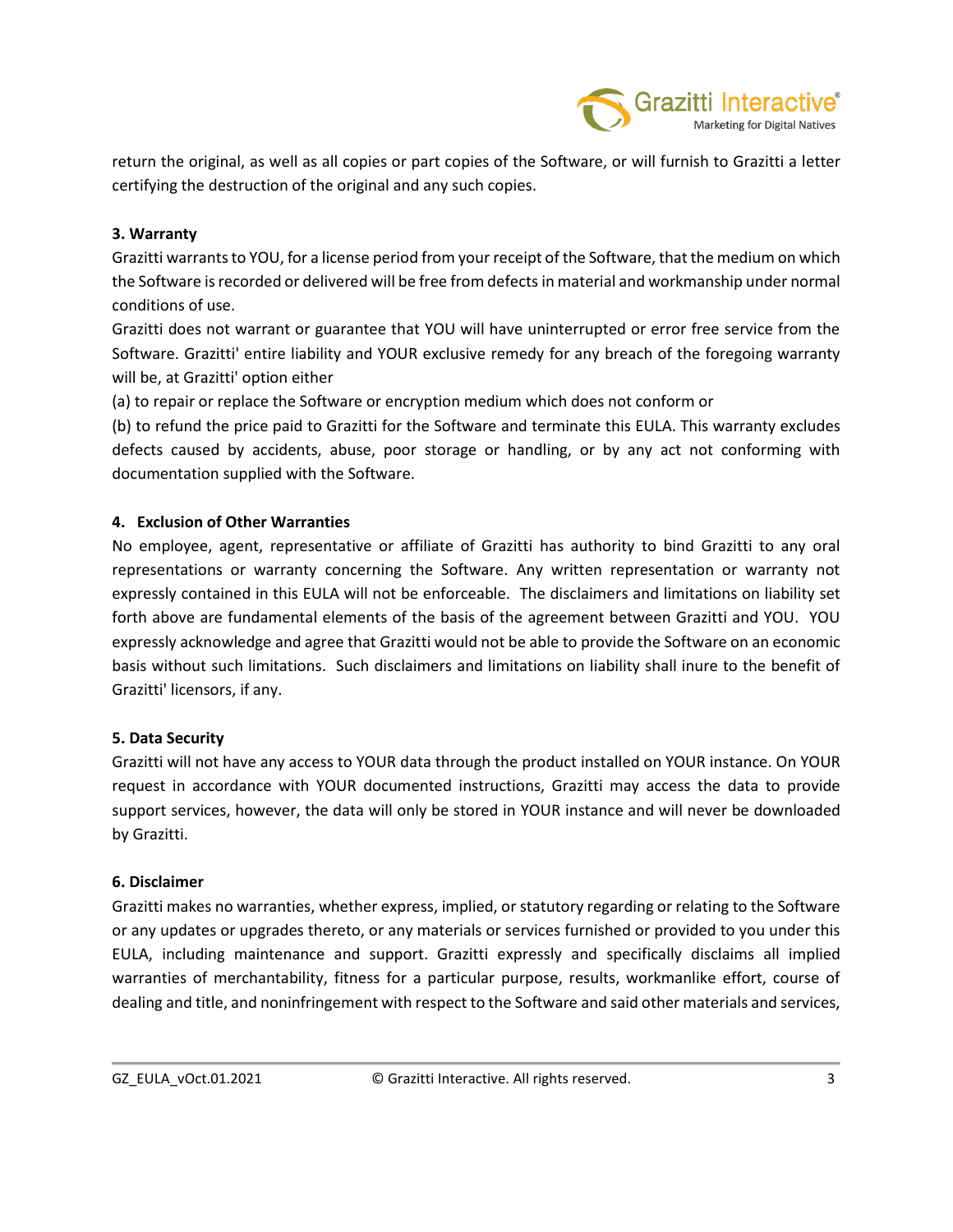

return the original, as well as all copies or part copies of the Software, or will furnish to Grazitti a letter certifying the destruction of the original and any such copies.

### **3. Warranty**

Grazitti warrants to YOU, for a license period from your receipt of the Software, that the medium on which the Software is recorded or delivered will be free from defects in material and workmanship under normal conditions of use.

Grazitti does not warrant or guarantee that YOU will have uninterrupted or error free service from the Software. Grazitti' entire liability and YOUR exclusive remedy for any breach of the foregoing warranty will be, at Grazitti' option either

(a) to repair or replace the Software or encryption medium which does not conform or

(b) to refund the price paid to Grazitti for the Software and terminate this EULA. This warranty excludes defects caused by accidents, abuse, poor storage or handling, or by any act not conforming with documentation supplied with the Software.

# **4. Exclusion of Other Warranties**

No employee, agent, representative or affiliate of Grazitti has authority to bind Grazitti to any oral representations or warranty concerning the Software. Any written representation or warranty not expressly contained in this EULA will not be enforceable. The disclaimers and limitations on liability set forth above are fundamental elements of the basis of the agreement between Grazitti and YOU. YOU expressly acknowledge and agree that Grazitti would not be able to provide the Software on an economic basis without such limitations. Such disclaimers and limitations on liability shall inure to the benefit of Grazitti' licensors, if any.

#### **5. Data Security**

Grazitti will not have any access to YOUR data through the product installed on YOUR instance. On YOUR request in accordance with YOUR documented instructions, Grazitti may access the data to provide support services, however, the data will only be stored in YOUR instance and will never be downloaded by Grazitti.

#### **6. Disclaimer**

Grazitti makes no warranties, whether express, implied, or statutory regarding or relating to the Software or any updates or upgrades thereto, or any materials or services furnished or provided to you under this EULA, including maintenance and support. Grazitti expressly and specifically disclaims all implied warranties of merchantability, fitness for a particular purpose, results, workmanlike effort, course of dealing and title, and noninfringement with respect to the Software and said other materials and services,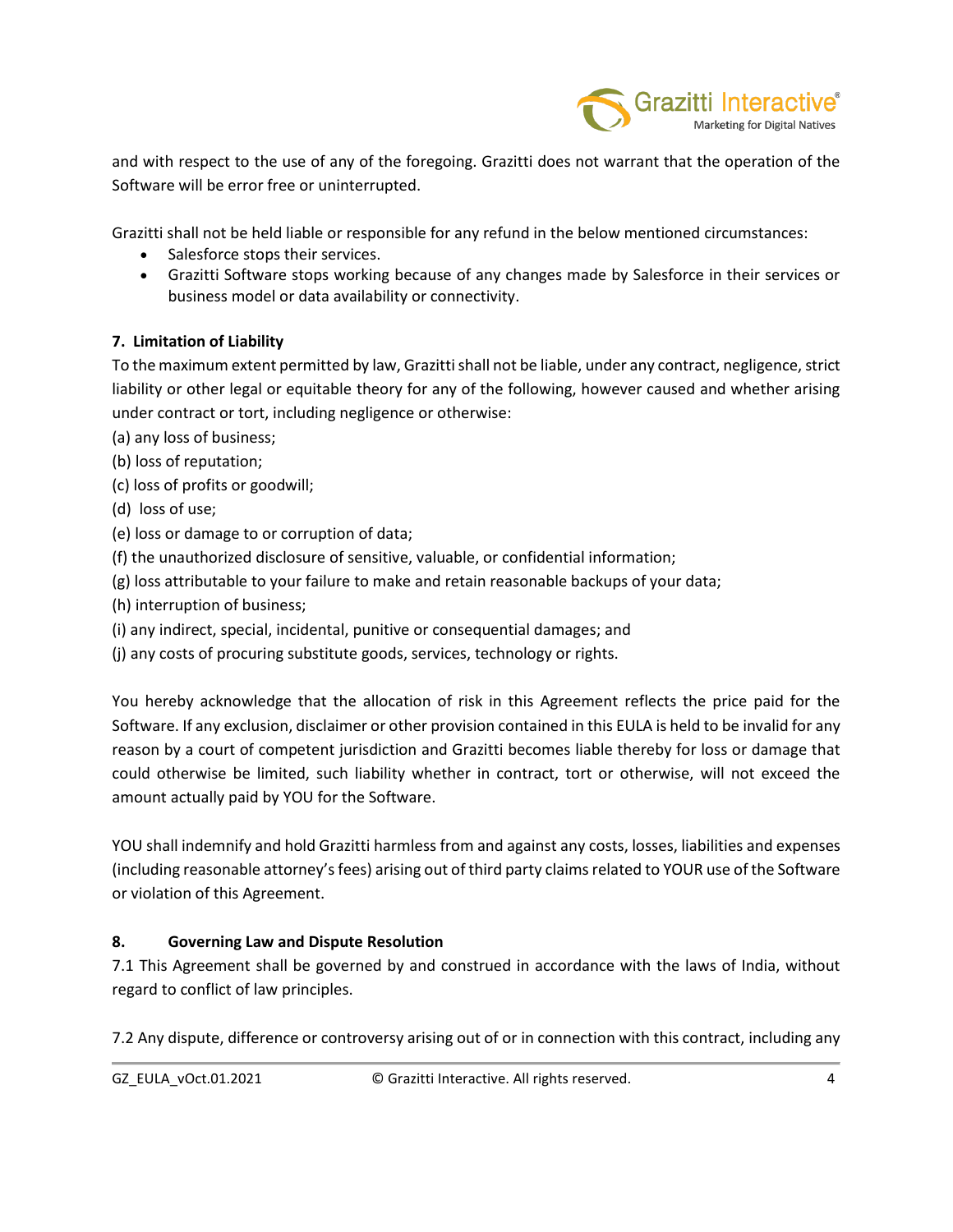

and with respect to the use of any of the foregoing. Grazitti does not warrant that the operation of the Software will be error free or uninterrupted.

Grazitti shall not be held liable or responsible for any refund in the below mentioned circumstances:

- Salesforce stops their services.
- Grazitti Software stops working because of any changes made by Salesforce in their services or business model or data availability or connectivity.

# **7. Limitation of Liability**

To the maximum extent permitted by law, Grazitti shall not be liable, under any contract, negligence, strict liability or other legal or equitable theory for any of the following, however caused and whether arising under contract or tort, including negligence or otherwise:

(a) any loss of business;

- (b) loss of reputation;
- (c) loss of profits or goodwill;
- (d) loss of use;
- (e) loss or damage to or corruption of data;
- (f) the unauthorized disclosure of sensitive, valuable, or confidential information;
- (g) loss attributable to your failure to make and retain reasonable backups of your data;
- (h) interruption of business;
- (i) any indirect, special, incidental, punitive or consequential damages; and
- (j) any costs of procuring substitute goods, services, technology or rights.

You hereby acknowledge that the allocation of risk in this Agreement reflects the price paid for the Software. If any exclusion, disclaimer or other provision contained in this EULA is held to be invalid for any reason by a court of competent jurisdiction and Grazitti becomes liable thereby for loss or damage that could otherwise be limited, such liability whether in contract, tort or otherwise, will not exceed the amount actually paid by YOU for the Software.

YOU shall indemnify and hold Grazitti harmless from and against any costs, losses, liabilities and expenses (including reasonable attorney'sfees) arising out of third party claims related to YOUR use of the Software or violation of this Agreement.

# **8. Governing Law and Dispute Resolution**

7.1 This Agreement shall be governed by and construed in accordance with the laws of India, without regard to conflict of law principles.

7.2 Any dispute, difference or controversy arising out of or in connection with this contract, including any